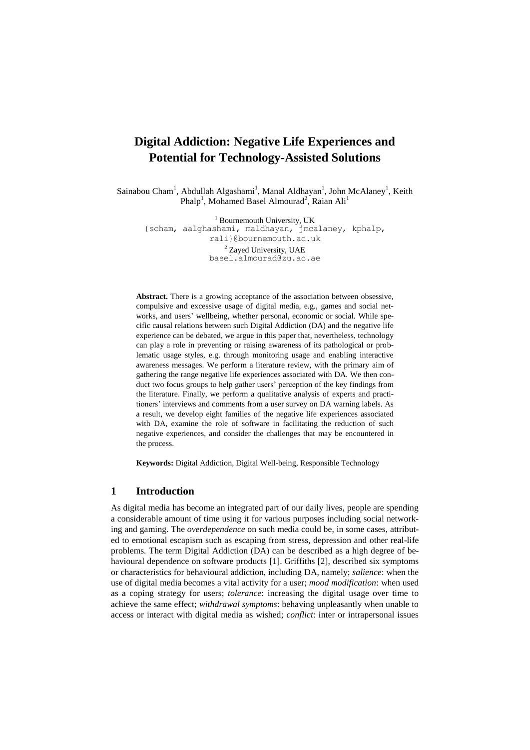# **Digital Addiction: Negative Life Experiences and Potential for Technology-Assisted Solutions**

Sainabou Cham<sup>1</sup>, Abdullah Algashami<sup>1</sup>, Manal Aldhayan<sup>1</sup>, John McAlaney<sup>1</sup>, Keith Phalp<sup>1</sup>, Mohamed Basel Almourad<sup>2</sup>, Raian Ali<sup>1</sup>

<sup>1</sup> Bournemouth University, UK {scham, aalghashami, maldhayan, jmcalaney, kphalp, rali}@bournemouth.ac.uk <sup>2</sup> Zayed University, UAE basel.almourad@zu.ac.ae

**Abstract.** There is a growing acceptance of the association between obsessive, compulsive and excessive usage of digital media, e.g., games and social networks, and users' wellbeing, whether personal, economic or social. While specific causal relations between such Digital Addiction (DA) and the negative life experience can be debated, we argue in this paper that, nevertheless, technology can play a role in preventing or raising awareness of its pathological or problematic usage styles, e.g. through monitoring usage and enabling interactive awareness messages. We perform a literature review, with the primary aim of gathering the range negative life experiences associated with DA. We then conduct two focus groups to help gather users' perception of the key findings from the literature. Finally, we perform a qualitative analysis of experts and practitioners' interviews and comments from a user survey on DA warning labels. As a result, we develop eight families of the negative life experiences associated with DA, examine the role of software in facilitating the reduction of such negative experiences, and consider the challenges that may be encountered in the process.

**Keywords:** Digital Addiction, Digital Well-being, Responsible Technology

# **1 Introduction**

As digital media has become an integrated part of our daily lives, people are spending a considerable amount of time using it for various purposes including social networking and gaming. The *overdependence* on such media could be, in some cases, attributed to emotional escapism such as escaping from stress, depression and other real-life problems. The term Digital Addiction (DA) can be described as a high degree of behavioural dependence on software products [1]. Griffiths [2], described six symptoms or characteristics for behavioural addiction, including DA, namely; *salience*: when the use of digital media becomes a vital activity for a user; *mood modification*: when used as a coping strategy for users; *tolerance*: increasing the digital usage over time to achieve the same effect; *withdrawal symptoms*: behaving unpleasantly when unable to access or interact with digital media as wished; *conflict*: inter or intrapersonal issues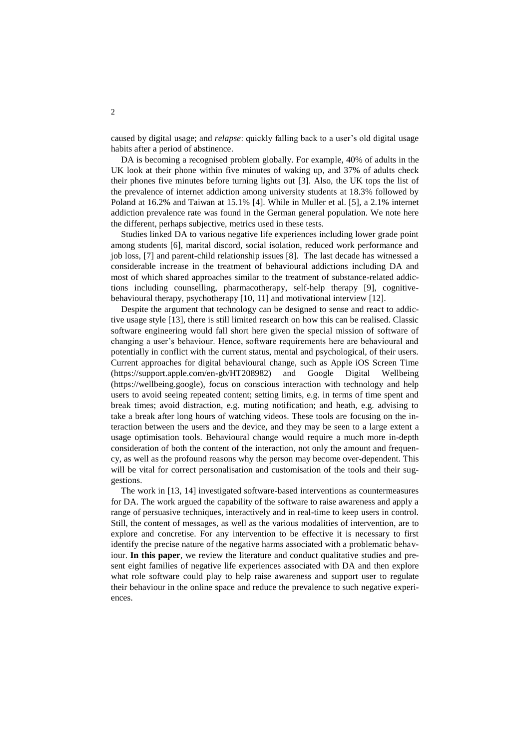caused by digital usage; and *relapse*: quickly falling back to a user's old digital usage habits after a period of abstinence.

DA is becoming a recognised problem globally. For example, 40% of adults in the UK look at their phone within five minutes of waking up, and 37% of adults check their phones five minutes before turning lights out [3]. Also, the UK tops the list of the prevalence of internet addiction among university students at 18.3% followed by Poland at 16.2% and Taiwan at 15.1% [4]. While in Muller et al. [5], a 2.1% internet addiction prevalence rate was found in the German general population. We note here the different, perhaps subjective, metrics used in these tests.

Studies linked DA to various negative life experiences including lower grade point among students [6], marital discord, social isolation, reduced work performance and job loss, [7] and parent-child relationship issues [8]. The last decade has witnessed a considerable increase in the treatment of behavioural addictions including DA and most of which shared approaches similar to the treatment of substance-related addictions including counselling, pharmacotherapy, self-help therapy [9], cognitivebehavioural therapy, psychotherapy [10, 11] and motivational interview [12].

Despite the argument that technology can be designed to sense and react to addictive usage style [13], there is still limited research on how this can be realised. Classic software engineering would fall short here given the special mission of software of changing a user's behaviour. Hence, software requirements here are behavioural and potentially in conflict with the current status, mental and psychological, of their users. Current approaches for digital behavioural change, such as Apple iOS Screen Time (https://support.apple.com/en-gb/HT208982) and Google Digital Wellbeing (https://wellbeing.google), focus on conscious interaction with technology and help users to avoid seeing repeated content; setting limits, e.g. in terms of time spent and break times; avoid distraction, e.g. muting notification; and heath, e.g. advising to take a break after long hours of watching videos. These tools are focusing on the interaction between the users and the device, and they may be seen to a large extent a usage optimisation tools. Behavioural change would require a much more in-depth consideration of both the content of the interaction, not only the amount and frequency, as well as the profound reasons why the person may become over-dependent. This will be vital for correct personalisation and customisation of the tools and their suggestions.

The work in [13, 14] investigated software-based interventions as countermeasures for DA. The work argued the capability of the software to raise awareness and apply a range of persuasive techniques, interactively and in real-time to keep users in control. Still, the content of messages, as well as the various modalities of intervention, are to explore and concretise. For any intervention to be effective it is necessary to first identify the precise nature of the negative harms associated with a problematic behaviour. **In this paper**, we review the literature and conduct qualitative studies and present eight families of negative life experiences associated with DA and then explore what role software could play to help raise awareness and support user to regulate their behaviour in the online space and reduce the prevalence to such negative experiences.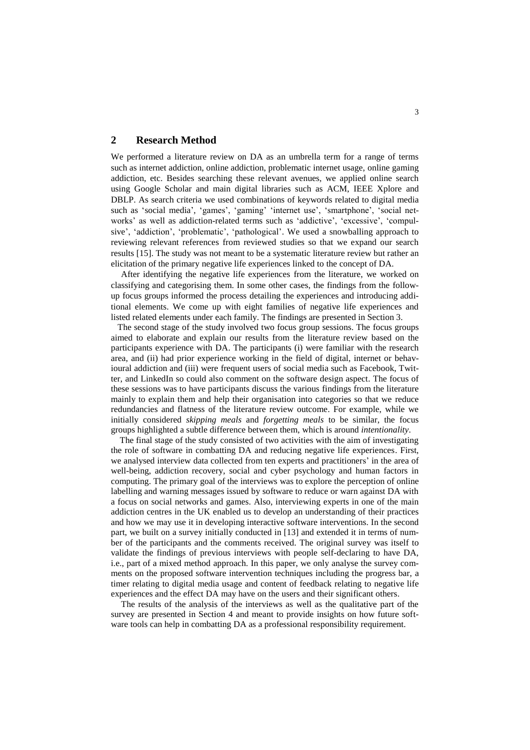### **2 Research Method**

We performed a literature review on DA as an umbrella term for a range of terms such as internet addiction, online addiction, problematic internet usage, online gaming addiction, etc. Besides searching these relevant avenues, we applied online search using Google Scholar and main digital libraries such as ACM, IEEE Xplore and DBLP. As search criteria we used combinations of keywords related to digital media such as 'social media', 'games', 'gaming' 'internet use', 'smartphone', 'social networks' as well as addiction-related terms such as 'addictive', 'excessive', 'compulsive', 'addiction', 'problematic', 'pathological'. We used a snowballing approach to reviewing relevant references from reviewed studies so that we expand our search results [15]. The study was not meant to be a systematic literature review but rather an elicitation of the primary negative life experiences linked to the concept of DA.

After identifying the negative life experiences from the literature, we worked on classifying and categorising them. In some other cases, the findings from the followup focus groups informed the process detailing the experiences and introducing additional elements. We come up with eight families of negative life experiences and listed related elements under each family. The findings are presented in Section 3.

 The second stage of the study involved two focus group sessions. The focus groups aimed to elaborate and explain our results from the literature review based on the participants experience with DA. The participants (i) were familiar with the research area, and (ii) had prior experience working in the field of digital, internet or behavioural addiction and (iii) were frequent users of social media such as Facebook, Twitter, and LinkedIn so could also comment on the software design aspect. The focus of these sessions was to have participants discuss the various findings from the literature mainly to explain them and help their organisation into categories so that we reduce redundancies and flatness of the literature review outcome. For example, while we initially considered *skipping meals* and *forgetting meals* to be similar, the focus groups highlighted a subtle difference between them, which is around *intentionality*.

 The final stage of the study consisted of two activities with the aim of investigating the role of software in combatting DA and reducing negative life experiences. First, we analysed interview data collected from ten experts and practitioners' in the area of well-being, addiction recovery, social and cyber psychology and human factors in computing. The primary goal of the interviews was to explore the perception of online labelling and warning messages issued by software to reduce or warn against DA with a focus on social networks and games. Also, interviewing experts in one of the main addiction centres in the UK enabled us to develop an understanding of their practices and how we may use it in developing interactive software interventions. In the second part, we built on a survey initially conducted in [13] and extended it in terms of number of the participants and the comments received. The original survey was itself to validate the findings of previous interviews with people self-declaring to have DA, i.e., part of a mixed method approach. In this paper, we only analyse the survey comments on the proposed software intervention techniques including the progress bar, a timer relating to digital media usage and content of feedback relating to negative life experiences and the effect DA may have on the users and their significant others.

The results of the analysis of the interviews as well as the qualitative part of the survey are presented in Section 4 and meant to provide insights on how future software tools can help in combatting DA as a professional responsibility requirement.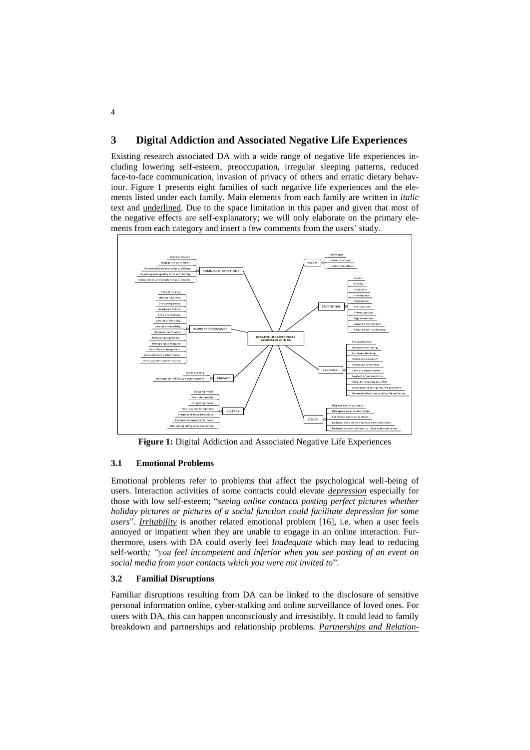# **3 Digital Addiction and Associated Negative Life Experiences**

Existing research associated DA with a wide range of negative life experiences including lowering self-esteem, preoccupation, irregular sleeping patterns, reduced face-to-face communication, invasion of privacy of others and erratic dietary behaviour. Figure 1 presents eight families of such negative life experiences and the elements listed under each family. Main elements from each family are written in *italic* text and underlined. Due to the space limitation in this paper and given that most of the negative effects are self-explanatory; we will only elaborate on the primary elements from each category and insert a few comments from the users' study.



**Figure 1:** Digital Addiction and Associated Negative Life Experiences

### **3.1 Emotional Problems**

4

Emotional problems refer to problems that affect the psychological well-being of users. Interaction activities of some contacts could elevate *depression* especially for those with low self-esteem; "*seeing online contacts posting perfect pictures whether holiday pictures or pictures of a social function could facilitate depression for some users*". *Irritability* is another related emotional problem [16], i.e. when a user feels annoyed or impatient when they are unable to engage in an online interaction. Furthermore, users with DA could overly feel *Inadequate* which may lead to reducing self-worth*; "you feel incompetent and inferior when you see posting of an event on social media from your contacts which you were not invited to*".

## **3.2 Familial Disruptions**

Familiar disruptions resulting from DA can be linked to the disclosure of sensitive personal information online, cyber-stalking and online surveillance of loved ones. For users with DA, this can happen unconsciously and irresistibly. It could lead to family breakdown and partnerships and relationship problems. *Partnerships and Relation-*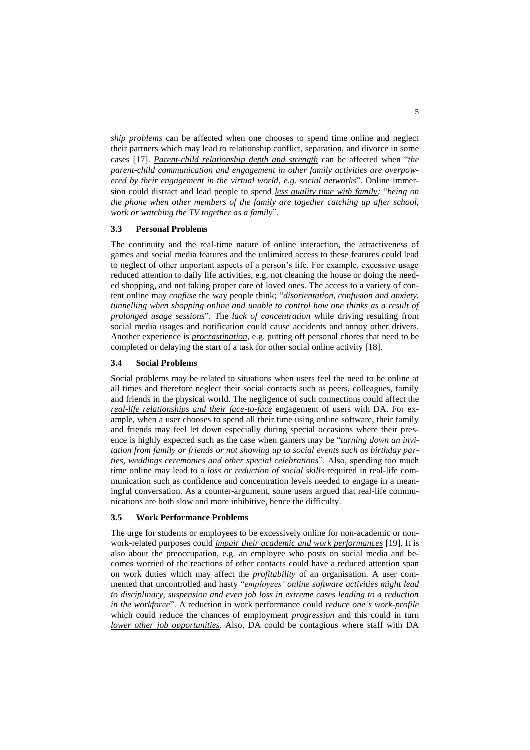*ship problems* can be affected when one chooses to spend time online and neglect their partners which may lead to relationship conflict, separation, and divorce in some cases [17]. *Parent-child relationship depth and strength* can be affected when "*the parent-child communication and engagement in other family activities are overpowered by their engagement in the virtual world, e.g. social networks*". Online immersion could distract and lead people to spend *less quality time with family;* "*being on the phone when other members of the family are together catching up after school, work or watching the TV together as a family*".

### **3.3 Personal Problems**

The continuity and the real-time nature of online interaction, the attractiveness of games and social media features and the unlimited access to these features could lead to neglect of other important aspects of a person's life. For example, excessive usage reduced attention to daily life activities, e.g. not cleaning the house or doing the needed shopping, and not taking proper care of loved ones. The access to a variety of content online may *confuse* the way people think; "*disorientation, confusion and anxiety, tunnelling when shopping online and unable to control how one thinks as a result of prolonged usage sessions*". The *lack of concentration* while driving resulting from social media usages and notification could cause accidents and annoy other drivers. Another experience is *procrastination*, e.g. putting off personal chores that need to be completed or delaying the start of a task for other social online activity [18].

#### **3.4 Social Problems**

Social problems may be related to situations when users feel the need to be online at all times and therefore neglect their social contacts such as peers, colleagues, family and friends in the physical world. The negligence of such connections could affect the *real-life relationships and their face-to-face* engagement of users with DA. For example, when a user chooses to spend all their time using online software, their family and friends may feel let down especially during special occasions where their presence is highly expected such as the case when gamers may be "*turning down an invitation from family or friends or not showing up to social events such as birthday parties, weddings ceremonies and other special celebrations*". Also, spending too much time online may lead to a *loss or reduction of social skills* required in real-life communication such as confidence and concentration levels needed to engage in a meaningful conversation. As a counter-argument, some users argued that real-life communications are both slow and more inhibitive, hence the difficulty.

### **3.5 Work Performance Problems**

The urge for students or employees to be excessively online for non-academic or nonwork-related purposes could *impair their academic and work performances* [19]. It is also about the preoccupation, e.g. an employee who posts on social media and becomes worried of the reactions of other contacts could have a reduced attention span on work duties which may affect the *profitability* of an organisation. A user commented that uncontrolled and hasty "*employees' online software activities might lead to disciplinary, suspension and even job loss in extreme cases leading to a reduction in the workforce*". A reduction in work performance could *reduce one's work-profile* which could reduce the chances of employment *progression* and this could in turn *lower other job opportunities*. Also, DA could be contagious where staff with DA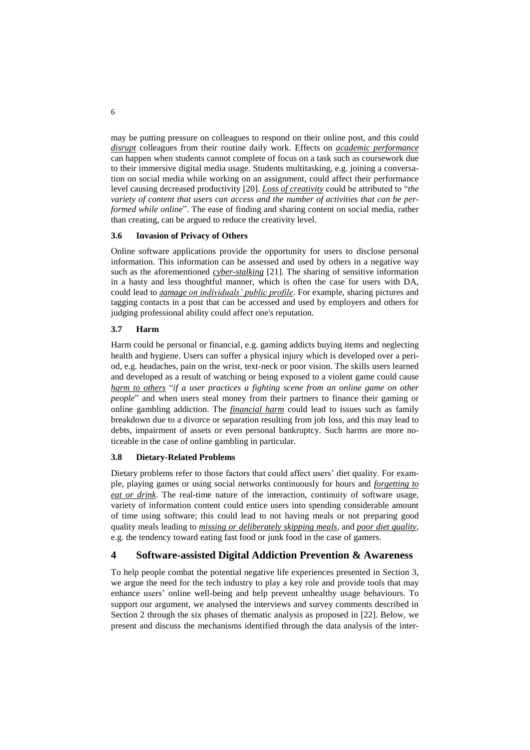may be putting pressure on colleagues to respond on their online post, and this could *disrupt* colleagues from their routine daily work. Effects on *academic performance* can happen when students cannot complete of focus on a task such as coursework due to their immersive digital media usage. Students multitasking, e.g. joining a conversation on social media while working on an assignment, could affect their performance level causing decreased productivity [20]. *Loss of creativity* could be attributed to "*the variety of content that users can access and the number of activities that can be performed while online*". The ease of finding and sharing content on social media, rather than creating, can be argued to reduce the creativity level.

### **3.6 Invasion of Privacy of Others**

Online software applications provide the opportunity for users to disclose personal information. This information can be assessed and used by others in a negative way such as the aforementioned *cyber-stalking* [21]. The sharing of sensitive information in a hasty and less thoughtful manner, which is often the case for users with DA, could lead to *damage on individuals' public profile*. For example, sharing pictures and tagging contacts in a post that can be accessed and used by employers and others for judging professional ability could affect one's reputation.

### **3.7 Harm**

Harm could be personal or financial, e.g. gaming addicts buying items and neglecting health and hygiene. Users can suffer a physical injury which is developed over a period, e.g. headaches, pain on the wrist, text-neck or poor vision. The skills users learned and developed as a result of watching or being exposed to a violent game could cause *harm to others* "*if a user practices a fighting scene from an online game on other people*" and when users steal money from their partners to finance their gaming or online gambling addiction. The *financial harm* could lead to issues such as family breakdown due to a divorce or separation resulting from job loss, and this may lead to debts, impairment of assets or even personal bankruptcy. Such harms are more noticeable in the case of online gambling in particular.

#### **3.8 Dietary-Related Problems**

Dietary problems refer to those factors that could affect users' diet quality. For example, playing games or using social networks continuously for hours and *forgetting to eat or drink*. The real-time nature of the interaction, continuity of software usage, variety of information content could entice users into spending considerable amount of time using software; this could lead to not having meals or not preparing good quality meals leading to *missing or deliberately skipping meals*, and *poor diet quality*, e.g. the tendency toward eating fast food or junk food in the case of gamers.

## **4 Software-assisted Digital Addiction Prevention & Awareness**

To help people combat the potential negative life experiences presented in Section 3, we argue the need for the tech industry to play a key role and provide tools that may enhance users' online well-being and help prevent unhealthy usage behaviours. To support our argument, we analysed the interviews and survey comments described in Section 2 through the six phases of thematic analysis as proposed in [22]. Below, we present and discuss the mechanisms identified through the data analysis of the inter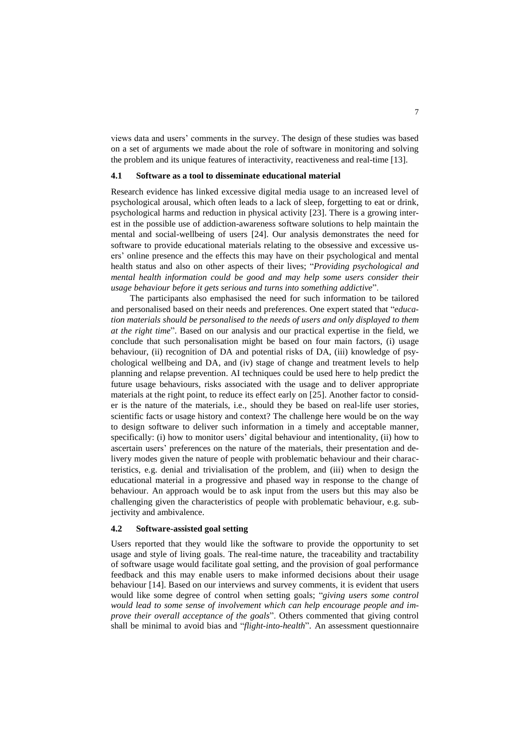views data and users' comments in the survey. The design of these studies was based on a set of arguments we made about the role of software in monitoring and solving the problem and its unique features of interactivity, reactiveness and real-time [13].

#### **4.1 Software as a tool to disseminate educational material**

Research evidence has linked excessive digital media usage to an increased level of psychological arousal, which often leads to a lack of sleep, forgetting to eat or drink, psychological harms and reduction in physical activity [23]. There is a growing interest in the possible use of addiction-awareness software solutions to help maintain the mental and social-wellbeing of users [24]. Our analysis demonstrates the need for software to provide educational materials relating to the obsessive and excessive users' online presence and the effects this may have on their psychological and mental health status and also on other aspects of their lives; "*Providing psychological and mental health information could be good and may help some users consider their usage behaviour before it gets serious and turns into something addictive*".

The participants also emphasised the need for such information to be tailored and personalised based on their needs and preferences. One expert stated that "*education materials should be personalised to the needs of users and only displayed to them at the right time*". Based on our analysis and our practical expertise in the field, we conclude that such personalisation might be based on four main factors, (i) usage behaviour, (ii) recognition of DA and potential risks of DA, (iii) knowledge of psychological wellbeing and DA, and (iv) stage of change and treatment levels to help planning and relapse prevention. AI techniques could be used here to help predict the future usage behaviours, risks associated with the usage and to deliver appropriate materials at the right point, to reduce its effect early on [25]. Another factor to consider is the nature of the materials, i.e., should they be based on real-life user stories, scientific facts or usage history and context? The challenge here would be on the way to design software to deliver such information in a timely and acceptable manner, specifically: (i) how to monitor users' digital behaviour and intentionality, (ii) how to ascertain users' preferences on the nature of the materials, their presentation and delivery modes given the nature of people with problematic behaviour and their characteristics, e.g. denial and trivialisation of the problem, and (iii) when to design the educational material in a progressive and phased way in response to the change of behaviour. An approach would be to ask input from the users but this may also be challenging given the characteristics of people with problematic behaviour, e.g. subjectivity and ambivalence.

#### **4.2 Software-assisted goal setting**

Users reported that they would like the software to provide the opportunity to set usage and style of living goals. The real-time nature, the traceability and tractability of software usage would facilitate goal setting, and the provision of goal performance feedback and this may enable users to make informed decisions about their usage behaviour [14]. Based on our interviews and survey comments, it is evident that users would like some degree of control when setting goals; "*giving users some control would lead to some sense of involvement which can help encourage people and improve their overall acceptance of the goals*". Others commented that giving control shall be minimal to avoid bias and "*flight-into-health*". An assessment questionnaire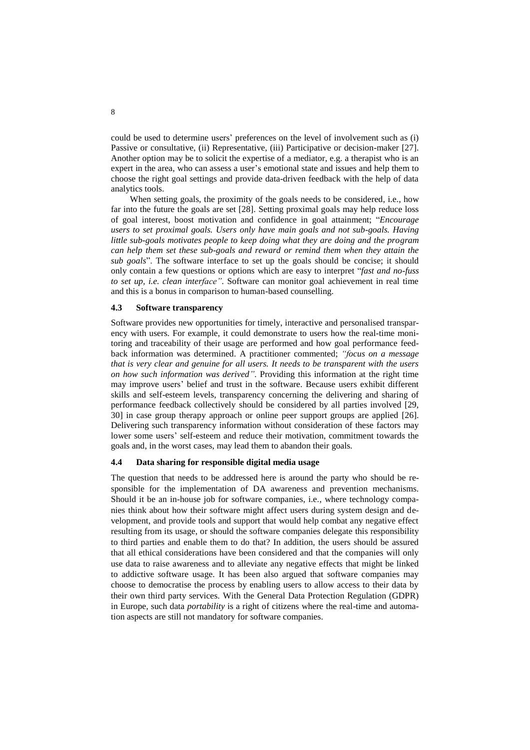could be used to determine users' preferences on the level of involvement such as (i) Passive or consultative, (ii) Representative, (iii) Participative or decision-maker [27]. Another option may be to solicit the expertise of a mediator, e.g. a therapist who is an expert in the area, who can assess a user's emotional state and issues and help them to choose the right goal settings and provide data-driven feedback with the help of data analytics tools.

When setting goals, the proximity of the goals needs to be considered, i.e., how far into the future the goals are set [28]. Setting proximal goals may help reduce loss of goal interest, boost motivation and confidence in goal attainment; "*Encourage users to set proximal goals. Users only have main goals and not sub-goals. Having little sub-goals motivates people to keep doing what they are doing and the program can help them set these sub-goals and reward or remind them when they attain the sub goals*". The software interface to set up the goals should be concise; it should only contain a few questions or options which are easy to interpret "*fast and no-fuss to set up, i.e. clean interface"*. Software can monitor goal achievement in real time and this is a bonus in comparison to human-based counselling.

### **4.3 Software transparency**

Software provides new opportunities for timely, interactive and personalised transparency with users. For example, it could demonstrate to users how the real-time monitoring and traceability of their usage are performed and how goal performance feedback information was determined. A practitioner commented; *"focus on a message that is very clear and genuine for all users. It needs to be transparent with the users on how such information was derived"*. Providing this information at the right time may improve users' belief and trust in the software. Because users exhibit different skills and self-esteem levels, transparency concerning the delivering and sharing of performance feedback collectively should be considered by all parties involved [29, 30] in case group therapy approach or online peer support groups are applied [26]. Delivering such transparency information without consideration of these factors may lower some users' self-esteem and reduce their motivation, commitment towards the goals and, in the worst cases, may lead them to abandon their goals.

### **4.4 Data sharing for responsible digital media usage**

The question that needs to be addressed here is around the party who should be responsible for the implementation of DA awareness and prevention mechanisms. Should it be an in-house job for software companies, i.e., where technology companies think about how their software might affect users during system design and development, and provide tools and support that would help combat any negative effect resulting from its usage, or should the software companies delegate this responsibility to third parties and enable them to do that? In addition, the users should be assured that all ethical considerations have been considered and that the companies will only use data to raise awareness and to alleviate any negative effects that might be linked to addictive software usage. It has been also argued that software companies may choose to democratise the process by enabling users to allow access to their data by their own third party services. With the General Data Protection Regulation (GDPR) in Europe, such data *portability* is a right of citizens where the real-time and automation aspects are still not mandatory for software companies.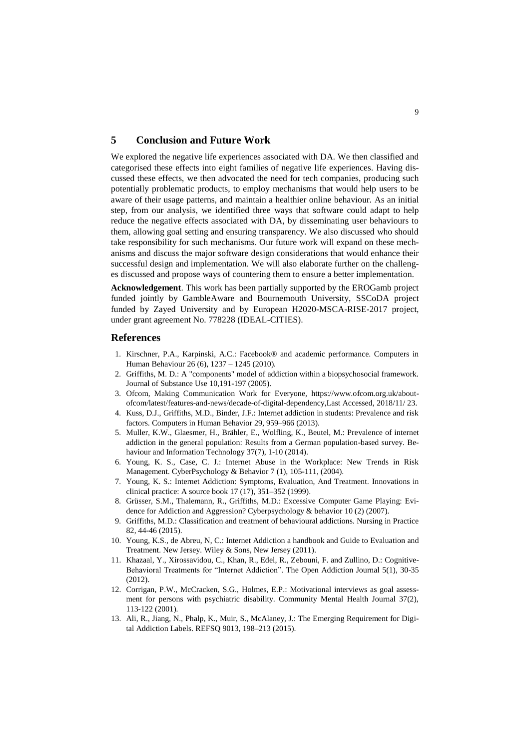### **5 Conclusion and Future Work**

We explored the negative life experiences associated with DA. We then classified and categorised these effects into eight families of negative life experiences. Having discussed these effects, we then advocated the need for tech companies, producing such potentially problematic products, to employ mechanisms that would help users to be aware of their usage patterns, and maintain a healthier online behaviour. As an initial step, from our analysis, we identified three ways that software could adapt to help reduce the negative effects associated with DA, by disseminating user behaviours to them, allowing goal setting and ensuring transparency. We also discussed who should take responsibility for such mechanisms. Our future work will expand on these mechanisms and discuss the major software design considerations that would enhance their successful design and implementation. We will also elaborate further on the challenges discussed and propose ways of countering them to ensure a better implementation.

**Acknowledgement**. This work has been partially supported by the EROGamb project funded jointly by GambleAware and Bournemouth University, SSCoDA project funded by Zayed University and by European H2020-MSCA-RISE-2017 project, under grant agreement No. 778228 (IDEAL-CITIES).

### **References**

- 1. Kirschner, P.A., Karpinski, A.C.: Facebook® and academic performance. Computers in Human Behaviour 26 (6), 1237 – 1245 (2010).
- 2. Griffiths, M. D.: A "components" model of addiction within a biopsychosocial framework. Journal of Substance Use 10,191-197 (2005).
- 3. Ofcom, Making Communication Work for Everyone, [https://www.ofcom.org.uk/about](https://www.ofcom.org.uk/about-ofcom/latest/features-and-news/decade-of-digital-dependency)[ofcom/latest/features-and-news/decade-of-digital-dependency,L](https://www.ofcom.org.uk/about-ofcom/latest/features-and-news/decade-of-digital-dependency)ast Accessed, 2018/11/ 23.
- 4. Kuss, D.J., Griffiths, M.D., Binder, J.F.: Internet addiction in students: Prevalence and risk factors. Computers in Human Behavior 29, 959–966 (2013).
- 5. Muller, K.W., Glaesmer, H., Brähler, E., Wolfling, K., Beutel, M.: Prevalence of internet addiction in the general population: Results from a German population-based survey. Behaviour and Information Technology 37(7), 1-10 (2014).
- 6. Young, K. S., Case, C. J.: Internet Abuse in the Workplace: New Trends in Risk Management. CyberPsychology & Behavior 7 (1), 105-111, (2004).
- 7. Young, K. S.: Internet Addiction: Symptoms, Evaluation, And Treatment. Innovations in clinical practice: A source book 17 (17), 351–352 (1999).
- 8. Grüsser, S.M., Thalemann, R., Griffiths, M.D.: Excessive Computer Game Playing: Evidence for Addiction and Aggression? Cyberpsychology & behavior 10 (2) (2007).
- 9. Griffiths, M.D.: Classification and treatment of behavioural addictions. Nursing in Practice 82, 44-46 (2015).
- 10. Young, K.S., de Abreu, N, C.: Internet Addiction a handbook and Guide to Evaluation and Treatment. New Jersey. Wiley & Sons, New Jersey (2011).
- 11. Khazaal, Y., Xirossavidou, C., Khan, R., Edel, R., Zebouni, F. and Zullino, D.: Cognitive-Behavioral Treatments for "Internet Addiction". The Open Addiction Journal 5(1), 30-35 (2012).
- 12. Corrigan, P.W., McCracken, S.G., Holmes, E.P.: Motivational interviews as goal assessment for persons with psychiatric disability. Community Mental Health Journal 37(2), 113-122 (2001).
- 13. Ali, R., Jiang, N., Phalp, K., Muir, S., McAlaney, J.: The Emerging Requirement for Digital Addiction Labels. REFSQ 9013, 198–213 (2015).